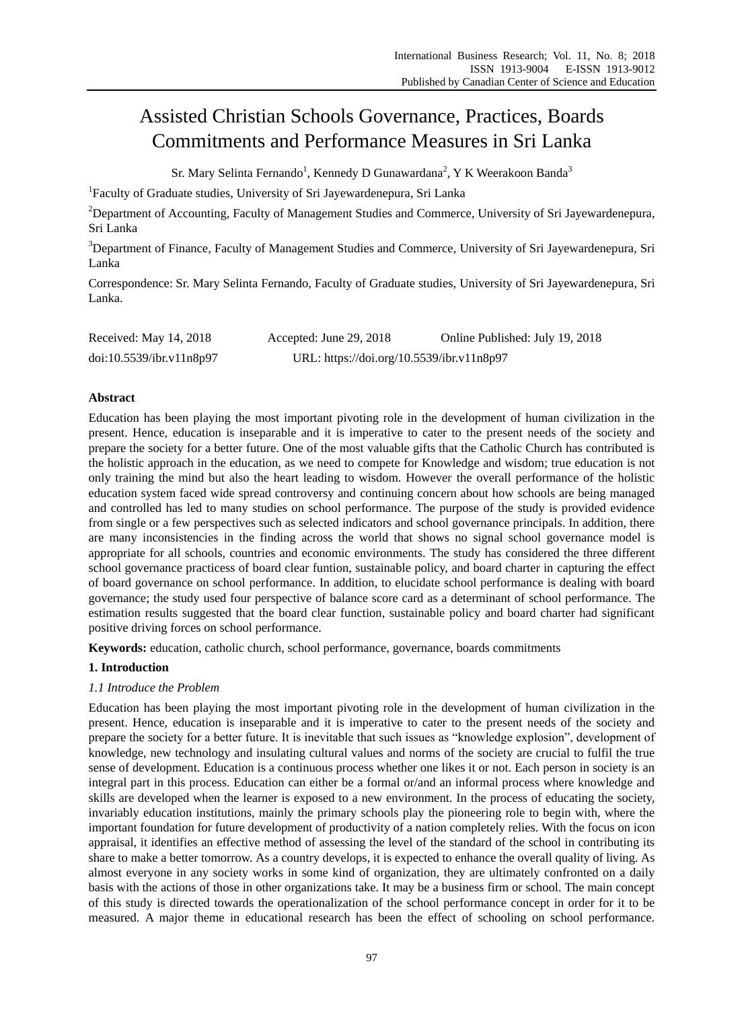# Assisted Christian Schools Governance, Practices, Boards Commitments and Performance Measures in Sri Lanka

Sr. Mary Selinta Fernando<sup>1</sup>, Kennedy D Gunawardana<sup>2</sup>, Y K Weerakoon Banda<sup>3</sup>

<sup>1</sup>Faculty of Graduate studies, University of Sri Jayewardenepura, Sri Lanka

<sup>2</sup>Department of Accounting, Faculty of Management Studies and Commerce, University of Sri Jayewardenepura, Sri Lanka

<sup>3</sup>Department of Finance, Faculty of Management Studies and Commerce, University of Sri Jayewardenepura, Sri Lanka

Correspondence: Sr. Mary Selinta Fernando, Faculty of Graduate studies, University of Sri Jayewardenepura, Sri Lanka.

| Received: May 14, 2018   | Accepted: June 29, 2018                   | Online Published: July 19, 2018 |
|--------------------------|-------------------------------------------|---------------------------------|
| doi:10.5539/ibr.v11n8p97 | URL: https://doi.org/10.5539/ibr.v11n8p97 |                                 |

# **Abstract**

Education has been playing the most important pivoting role in the development of human civilization in the present. Hence, education is inseparable and it is imperative to cater to the present needs of the society and prepare the society for a better future. One of the most valuable gifts that the Catholic Church has contributed is the holistic approach in the education, as we need to compete for Knowledge and wisdom; true education is not only training the mind but also the heart leading to wisdom. However the overall performance of the holistic education system faced wide spread controversy and continuing concern about how schools are being managed and controlled has led to many studies on school performance. The purpose of the study is provided evidence from single or a few perspectives such as selected indicators and school governance principals. In addition, there are many inconsistencies in the finding across the world that shows no signal school governance model is appropriate for all schools, countries and economic environments. The study has considered the three different school governance practicess of board clear funtion, sustainable policy, and board charter in capturing the effect of board governance on school performance. In addition, to elucidate school performance is dealing with board governance; the study used four perspective of balance score card as a determinant of school performance. The estimation results suggested that the board clear function, sustainable policy and board charter had significant positive driving forces on school performance.

**Keywords:** education, catholic church, school performance, governance, boards commitments

# **1. Introduction**

# *1.1 Introduce the Problem*

Education has been playing the most important pivoting role in the development of human civilization in the present. Hence, education is inseparable and it is imperative to cater to the present needs of the society and prepare the society for a better future. It is inevitable that such issues as "knowledge explosion", development of knowledge, new technology and insulating cultural values and norms of the society are crucial to fulfil the true sense of development. Education is a continuous process whether one likes it or not. Each person in society is an integral part in this process. Education can either be a formal or/and an informal process where knowledge and skills are developed when the learner is exposed to a new environment. In the process of educating the society, invariably education institutions, mainly the primary schools play the pioneering role to begin with, where the important foundation for future development of productivity of a nation completely relies. With the focus on icon appraisal, it identifies an effective method of assessing the level of the standard of the school in contributing its share to make a better tomorrow. As a country develops, it is expected to enhance the overall quality of living. As almost everyone in any society works in some kind of organization, they are ultimately confronted on a daily basis with the actions of those in other organizations take. It may be a business firm or school. The main concept of this study is directed towards the operationalization of the school performance concept in order for it to be measured. A major theme in educational research has been the effect of schooling on school performance.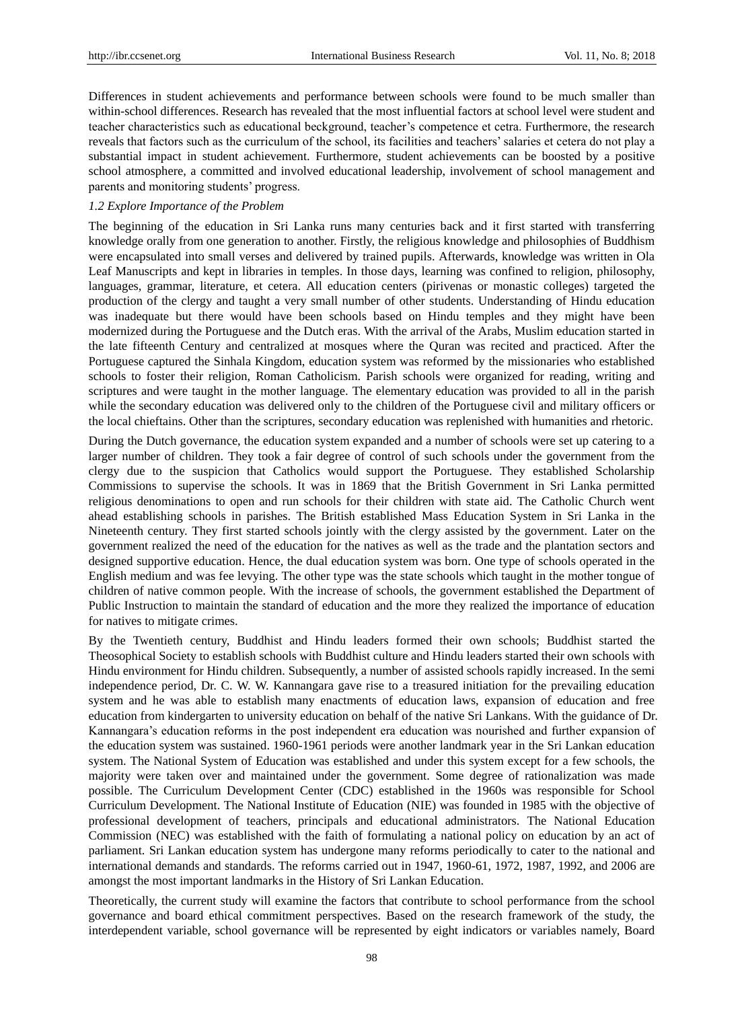Differences in student achievements and performance between schools were found to be much smaller than within-school differences. Research has revealed that the most influential factors at school level were student and teacher characteristics such as educational beckground, teacher's competence et cetra. Furthermore, the research reveals that factors such as the curriculum of the school, its facilities and teachers' salaries et cetera do not play a substantial impact in student achievement. Furthermore, student achievements can be boosted by a positive school atmosphere, a committed and involved educational leadership, involvement of school management and parents and monitoring students' progress.

# *1.2 Explore Importance of the Problem*

The beginning of the education in Sri Lanka runs many centuries back and it first started with transferring knowledge orally from one generation to another. Firstly, the religious knowledge and philosophies of Buddhism were encapsulated into small verses and delivered by trained pupils. Afterwards, knowledge was written in Ola Leaf Manuscripts and kept in libraries in temples. In those days, learning was confined to religion, philosophy, languages, grammar, literature, et cetera. All education centers (pirivenas or monastic colleges) targeted the production of the clergy and taught a very small number of other students. Understanding of Hindu education was inadequate but there would have been schools based on Hindu temples and they might have been modernized during the Portuguese and the Dutch eras. With the arrival of the Arabs, Muslim education started in the late fifteenth Century and centralized at mosques where the Quran was recited and practiced. After the Portuguese captured the Sinhala Kingdom, education system was reformed by the missionaries who established schools to foster their religion, Roman Catholicism. Parish schools were organized for reading, writing and scriptures and were taught in the mother language. The elementary education was provided to all in the parish while the secondary education was delivered only to the children of the Portuguese civil and military officers or the local chieftains. Other than the scriptures, secondary education was replenished with humanities and rhetoric.

During the Dutch governance, the education system expanded and a number of schools were set up catering to a larger number of children. They took a fair degree of control of such schools under the government from the clergy due to the suspicion that Catholics would support the Portuguese. They established Scholarship Commissions to supervise the schools. It was in 1869 that the British Government in Sri Lanka permitted religious denominations to open and run schools for their children with state aid. The Catholic Church went ahead establishing schools in parishes. The British established Mass Education System in Sri Lanka in the Nineteenth century. They first started schools jointly with the clergy assisted by the government. Later on the government realized the need of the education for the natives as well as the trade and the plantation sectors and designed supportive education. Hence, the dual education system was born. One type of schools operated in the English medium and was fee levying. The other type was the state schools which taught in the mother tongue of children of native common people. With the increase of schools, the government established the Department of Public Instruction to maintain the standard of education and the more they realized the importance of education for natives to mitigate crimes.

By the Twentieth century, Buddhist and Hindu leaders formed their own schools; Buddhist started the Theosophical Society to establish schools with Buddhist culture and Hindu leaders started their own schools with Hindu environment for Hindu children. Subsequently, a number of assisted schools rapidly increased. In the semi independence period, Dr. C. W. W. Kannangara gave rise to a treasured initiation for the prevailing education system and he was able to establish many enactments of education laws, expansion of education and free education from kindergarten to university education on behalf of the native Sri Lankans. With the guidance of Dr. Kannangara's education reforms in the post independent era education was nourished and further expansion of the education system was sustained. 1960-1961 periods were another landmark year in the Sri Lankan education system. The National System of Education was established and under this system except for a few schools, the majority were taken over and maintained under the government. Some degree of rationalization was made possible. The Curriculum Development Center (CDC) established in the 1960s was responsible for School Curriculum Development. The National Institute of Education (NIE) was founded in 1985 with the objective of professional development of teachers, principals and educational administrators. The National Education Commission (NEC) was established with the faith of formulating a national policy on education by an act of parliament. Sri Lankan education system has undergone many reforms periodically to cater to the national and international demands and standards. The reforms carried out in 1947, 1960-61, 1972, 1987, 1992, and 2006 are amongst the most important landmarks in the History of Sri Lankan Education.

Theoretically, the current study will examine the factors that contribute to school performance from the school governance and board ethical commitment perspectives. Based on the research framework of the study, the interdependent variable, school governance will be represented by eight indicators or variables namely, Board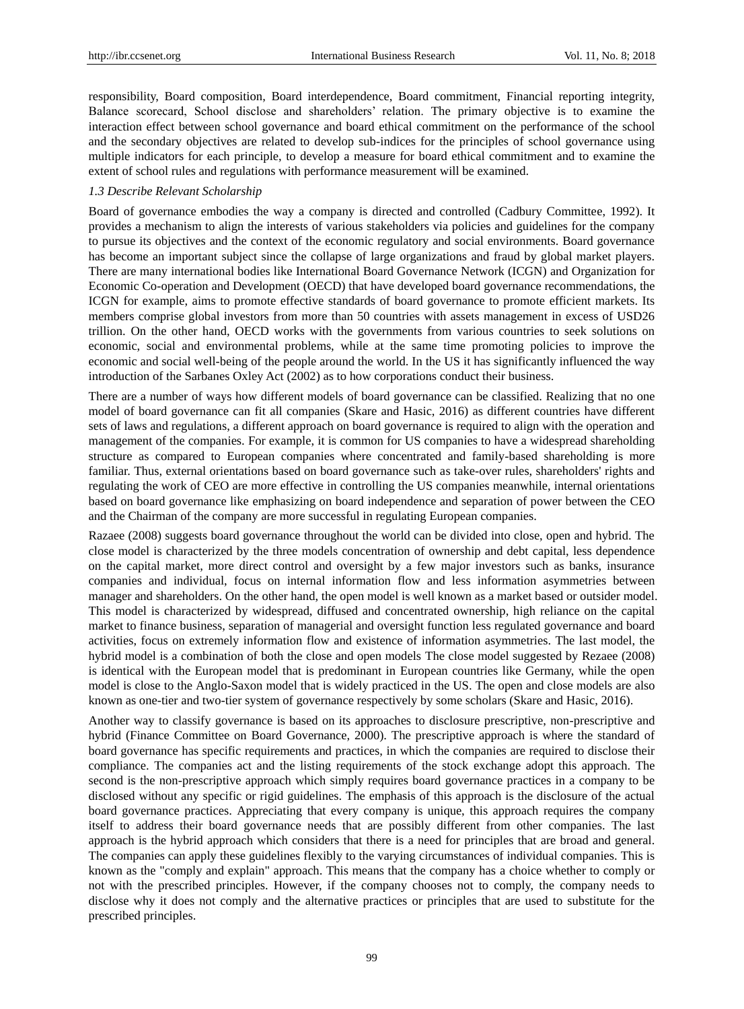responsibility, Board composition, Board interdependence, Board commitment, Financial reporting integrity, Balance scorecard, School disclose and shareholders' relation. The primary objective is to examine the interaction effect between school governance and board ethical commitment on the performance of the school and the secondary objectives are related to develop sub-indices for the principles of school governance using multiple indicators for each principle, to develop a measure for board ethical commitment and to examine the extent of school rules and regulations with performance measurement will be examined.

# *1.3 Describe Relevant Scholarship*

Board of governance embodies the way a company is directed and controlled (Cadbury Committee, 1992). It provides a mechanism to align the interests of various stakeholders via policies and guidelines for the company to pursue its objectives and the context of the economic regulatory and social environments. Board governance has become an important subject since the collapse of large organizations and fraud by global market players. There are many international bodies like International Board Governance Network (ICGN) and Organization for Economic Co-operation and Development (OECD) that have developed board governance recommendations, the ICGN for example, aims to promote effective standards of board governance to promote efficient markets. Its members comprise global investors from more than 50 countries with assets management in excess of USD26 trillion. On the other hand, OECD works with the governments from various countries to seek solutions on economic, social and environmental problems, while at the same time promoting policies to improve the economic and social well-being of the people around the world. In the US it has significantly influenced the way introduction of the Sarbanes Oxley Act (2002) as to how corporations conduct their business.

There are a number of ways how different models of board governance can be classified. Realizing that no one model of board governance can fit all companies (Skare and Hasic, 2016) as different countries have different sets of laws and regulations, a different approach on board governance is required to align with the operation and management of the companies. For example, it is common for US companies to have a widespread shareholding structure as compared to European companies where concentrated and family-based shareholding is more familiar. Thus, external orientations based on board governance such as take-over rules, shareholders' rights and regulating the work of CEO are more effective in controlling the US companies meanwhile, internal orientations based on board governance like emphasizing on board independence and separation of power between the CEO and the Chairman of the company are more successful in regulating European companies.

Razaee (2008) suggests board governance throughout the world can be divided into close, open and hybrid. The close model is characterized by the three models concentration of ownership and debt capital, less dependence on the capital market, more direct control and oversight by a few major investors such as banks, insurance companies and individual, focus on internal information flow and less information asymmetries between manager and shareholders. On the other hand, the open model is well known as a market based or outsider model. This model is characterized by widespread, diffused and concentrated ownership, high reliance on the capital market to finance business, separation of managerial and oversight function less regulated governance and board activities, focus on extremely information flow and existence of information asymmetries. The last model, the hybrid model is a combination of both the close and open models The close model suggested by Rezaee (2008) is identical with the European model that is predominant in European countries like Germany, while the open model is close to the Anglo-Saxon model that is widely practiced in the US. The open and close models are also known as one-tier and two-tier system of governance respectively by some scholars (Skare and Hasic, 2016).

Another way to classify governance is based on its approaches to disclosure prescriptive, non-prescriptive and hybrid (Finance Committee on Board Governance, 2000). The prescriptive approach is where the standard of board governance has specific requirements and practices, in which the companies are required to disclose their compliance. The companies act and the listing requirements of the stock exchange adopt this approach. The second is the non-prescriptive approach which simply requires board governance practices in a company to be disclosed without any specific or rigid guidelines. The emphasis of this approach is the disclosure of the actual board governance practices. Appreciating that every company is unique, this approach requires the company itself to address their board governance needs that are possibly different from other companies. The last approach is the hybrid approach which considers that there is a need for principles that are broad and general. The companies can apply these guidelines flexibly to the varying circumstances of individual companies. This is known as the "comply and explain" approach. This means that the company has a choice whether to comply or not with the prescribed principles. However, if the company chooses not to comply, the company needs to disclose why it does not comply and the alternative practices or principles that are used to substitute for the prescribed principles.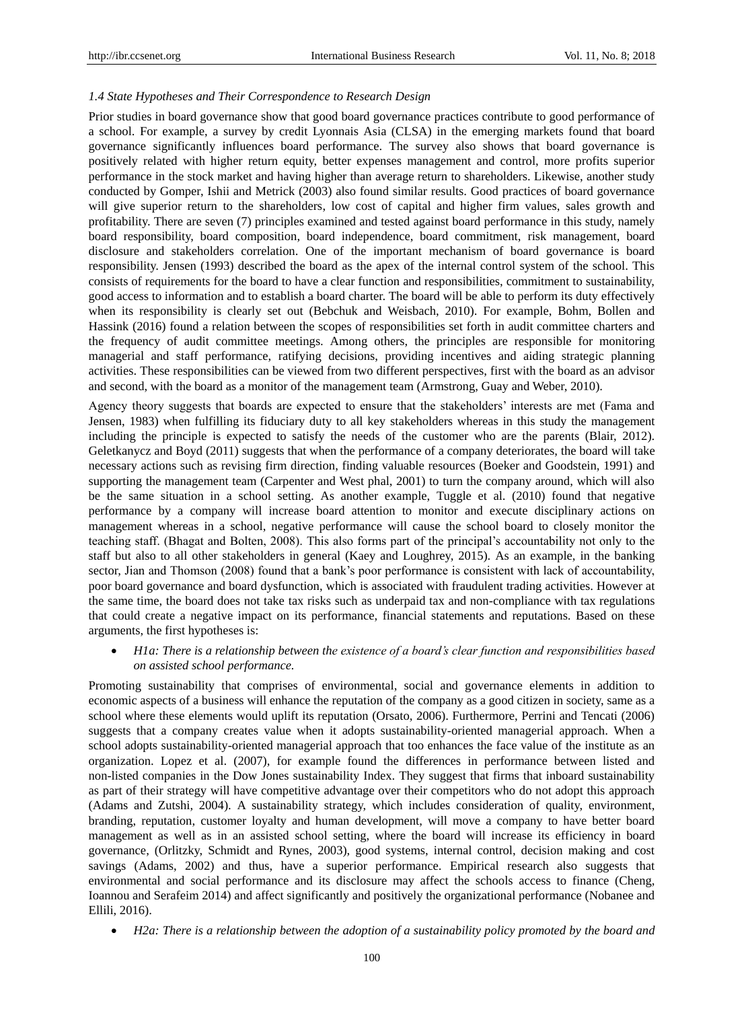# *1.4 State Hypotheses and Their Correspondence to Research Design*

Prior studies in board governance show that good board governance practices contribute to good performance of a school. For example, a survey by credit Lyonnais Asia (CLSA) in the emerging markets found that board governance significantly influences board performance. The survey also shows that board governance is positively related with higher return equity, better expenses management and control, more profits superior performance in the stock market and having higher than average return to shareholders. Likewise, another study conducted by Gomper, Ishii and Metrick (2003) also found similar results. Good practices of board governance will give superior return to the shareholders, low cost of capital and higher firm values, sales growth and profitability. There are seven (7) principles examined and tested against board performance in this study, namely board responsibility, board composition, board independence, board commitment, risk management, board disclosure and stakeholders correlation. One of the important mechanism of board governance is board responsibility. Jensen (1993) described the board as the apex of the internal control system of the school. This consists of requirements for the board to have a clear function and responsibilities, commitment to sustainability, good access to information and to establish a board charter. The board will be able to perform its duty effectively when its responsibility is clearly set out (Bebchuk and Weisbach, 2010). For example, Bohm, Bollen and Hassink (2016) found a relation between the scopes of responsibilities set forth in audit committee charters and the frequency of audit committee meetings. Among others, the principles are responsible for monitoring managerial and staff performance, ratifying decisions, providing incentives and aiding strategic planning activities. These responsibilities can be viewed from two different perspectives, first with the board as an advisor and second, with the board as a monitor of the management team (Armstrong, Guay and Weber, 2010).

Agency theory suggests that boards are expected to ensure that the stakeholders' interests are met (Fama and Jensen, 1983) when fulfilling its fiduciary duty to all key stakeholders whereas in this study the management including the principle is expected to satisfy the needs of the customer who are the parents (Blair, 2012). Geletkanycz and Boyd (2011) suggests that when the performance of a company deteriorates, the board will take necessary actions such as revising firm direction, finding valuable resources (Boeker and Goodstein, 1991) and supporting the management team (Carpenter and West phal, 2001) to turn the company around, which will also be the same situation in a school setting. As another example, Tuggle et al. (2010) found that negative performance by a company will increase board attention to monitor and execute disciplinary actions on management whereas in a school, negative performance will cause the school board to closely monitor the teaching staff. (Bhagat and Bolten, 2008). This also forms part of the principal's accountability not only to the staff but also to all other stakeholders in general (Kaey and Loughrey, 2015). As an example, in the banking sector, Jian and Thomson (2008) found that a bank's poor performance is consistent with lack of accountability, poor board governance and board dysfunction, which is associated with fraudulent trading activities. However at the same time, the board does not take tax risks such as underpaid tax and non-compliance with tax regulations that could create a negative impact on its performance, financial statements and reputations. Based on these arguments, the first hypotheses is:

 *H1a: There is a relationship between the existence of a board's clear function and responsibilities based on assisted school performance.*

Promoting sustainability that comprises of environmental, social and governance elements in addition to economic aspects of a business will enhance the reputation of the company as a good citizen in society, same as a school where these elements would uplift its reputation (Orsato, 2006). Furthermore, Perrini and Tencati (2006) suggests that a company creates value when it adopts sustainability-oriented managerial approach. When a school adopts sustainability-oriented managerial approach that too enhances the face value of the institute as an organization. Lopez et al. (2007), for example found the differences in performance between listed and non-listed companies in the Dow Jones sustainability Index. They suggest that firms that inboard sustainability as part of their strategy will have competitive advantage over their competitors who do not adopt this approach (Adams and Zutshi, 2004). A sustainability strategy, which includes consideration of quality, environment, branding, reputation, customer loyalty and human development, will move a company to have better board management as well as in an assisted school setting, where the board will increase its efficiency in board governance, (Orlitzky, Schmidt and Rynes, 2003), good systems, internal control, decision making and cost savings (Adams, 2002) and thus, have a superior performance. Empirical research also suggests that environmental and social performance and its disclosure may affect the schools access to finance (Cheng, Ioannou and Serafeim 2014) and affect significantly and positively the organizational performance (Nobanee and Ellili, 2016).

*H2a: There is a relationship between the adoption of a sustainability policy promoted by the board and*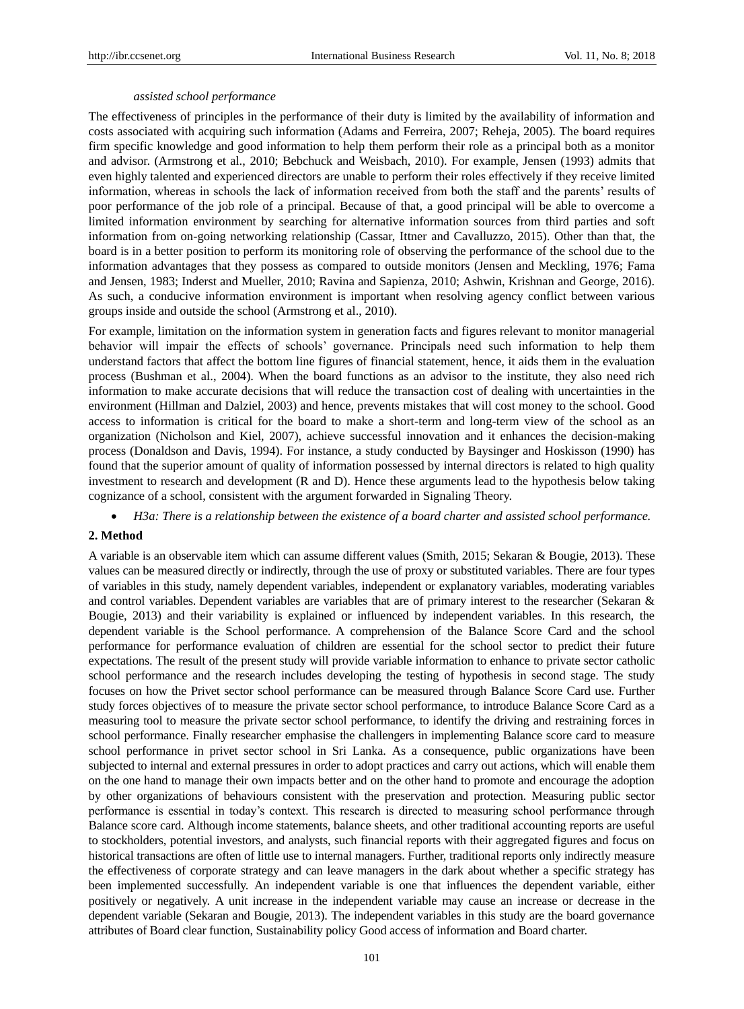#### *assisted school performance*

The effectiveness of principles in the performance of their duty is limited by the availability of information and costs associated with acquiring such information (Adams and Ferreira, 2007; Reheja, 2005). The board requires firm specific knowledge and good information to help them perform their role as a principal both as a monitor and advisor. (Armstrong et al., 2010; Bebchuck and Weisbach, 2010). For example, Jensen (1993) admits that even highly talented and experienced directors are unable to perform their roles effectively if they receive limited information, whereas in schools the lack of information received from both the staff and the parents' results of poor performance of the job role of a principal. Because of that, a good principal will be able to overcome a limited information environment by searching for alternative information sources from third parties and soft information from on-going networking relationship (Cassar, Ittner and Cavalluzzo, 2015). Other than that, the board is in a better position to perform its monitoring role of observing the performance of the school due to the information advantages that they possess as compared to outside monitors (Jensen and Meckling, 1976; Fama and Jensen, 1983; Inderst and Mueller, 2010; Ravina and Sapienza, 2010; Ashwin, Krishnan and George, 2016). As such, a conducive information environment is important when resolving agency conflict between various groups inside and outside the school (Armstrong et al., 2010).

For example, limitation on the information system in generation facts and figures relevant to monitor managerial behavior will impair the effects of schools' governance. Principals need such information to help them understand factors that affect the bottom line figures of financial statement, hence, it aids them in the evaluation process (Bushman et al., 2004). When the board functions as an advisor to the institute, they also need rich information to make accurate decisions that will reduce the transaction cost of dealing with uncertainties in the environment (Hillman and Dalziel, 2003) and hence, prevents mistakes that will cost money to the school. Good access to information is critical for the board to make a short-term and long-term view of the school as an organization (Nicholson and Kiel, 2007), achieve successful innovation and it enhances the decision-making process (Donaldson and Davis, 1994). For instance, a study conducted by Baysinger and Hoskisson (1990) has found that the superior amount of quality of information possessed by internal directors is related to high quality investment to research and development (R and D). Hence these arguments lead to the hypothesis below taking cognizance of a school, consistent with the argument forwarded in Signaling Theory.

*H3a: There is a relationship between the existence of a board charter and assisted school performance.*

# **2. Method**

A variable is an observable item which can assume different values (Smith, 2015; Sekaran & Bougie, 2013). These values can be measured directly or indirectly, through the use of proxy or substituted variables. There are four types of variables in this study, namely dependent variables, independent or explanatory variables, moderating variables and control variables. Dependent variables are variables that are of primary interest to the researcher (Sekaran & Bougie, 2013) and their variability is explained or influenced by independent variables. In this research, the dependent variable is the School performance. A comprehension of the Balance Score Card and the school performance for performance evaluation of children are essential for the school sector to predict their future expectations. The result of the present study will provide variable information to enhance to private sector catholic school performance and the research includes developing the testing of hypothesis in second stage. The study focuses on how the Privet sector school performance can be measured through Balance Score Card use. Further study forces objectives of to measure the private sector school performance, to introduce Balance Score Card as a measuring tool to measure the private sector school performance, to identify the driving and restraining forces in school performance. Finally researcher emphasise the challengers in implementing Balance score card to measure school performance in privet sector school in Sri Lanka. As a consequence, public organizations have been subjected to internal and external pressures in order to adopt practices and carry out actions, which will enable them on the one hand to manage their own impacts better and on the other hand to promote and encourage the adoption by other organizations of behaviours consistent with the preservation and protection. Measuring public sector performance is essential in today's context. This research is directed to measuring school performance through Balance score card. Although income statements, balance sheets, and other traditional accounting reports are useful to stockholders, potential investors, and analysts, such financial reports with their aggregated figures and focus on historical transactions are often of little use to internal managers. Further, traditional reports only indirectly measure the effectiveness of corporate strategy and can leave managers in the dark about whether a specific strategy has been implemented successfully. An independent variable is one that influences the dependent variable, either positively or negatively. A unit increase in the independent variable may cause an increase or decrease in the dependent variable (Sekaran and Bougie, 2013). The independent variables in this study are the board governance attributes of Board clear function, Sustainability policy Good access of information and Board charter.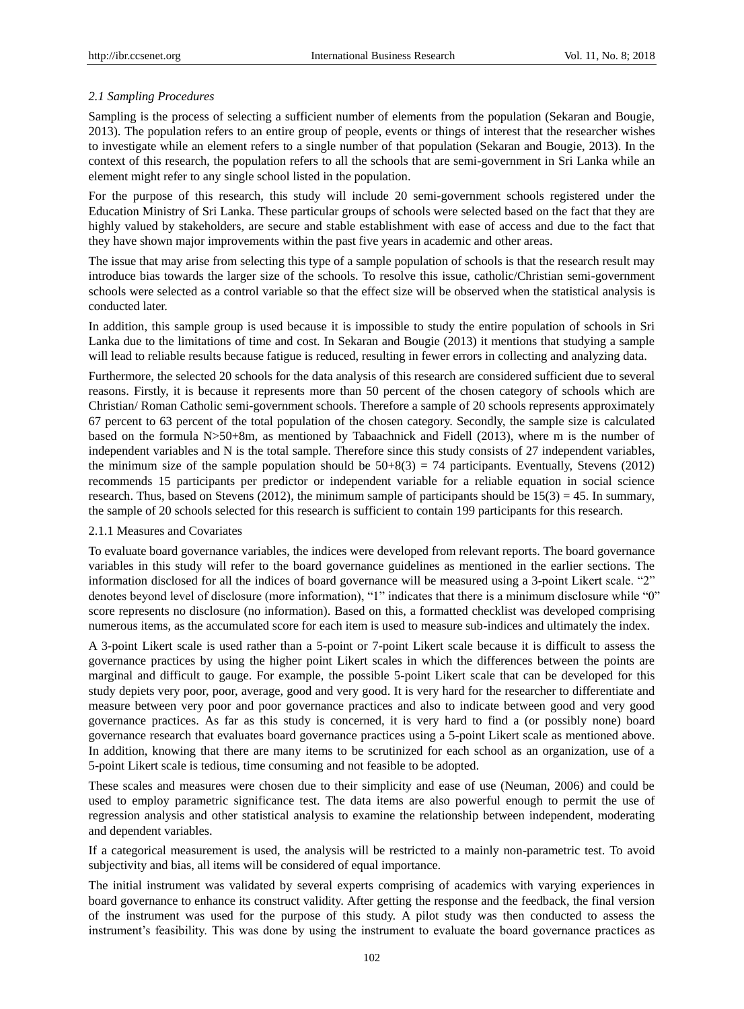# *2.1 Sampling Procedures*

Sampling is the process of selecting a sufficient number of elements from the population (Sekaran and Bougie, 2013). The population refers to an entire group of people, events or things of interest that the researcher wishes to investigate while an element refers to a single number of that population (Sekaran and Bougie, 2013). In the context of this research, the population refers to all the schools that are semi-government in Sri Lanka while an element might refer to any single school listed in the population.

For the purpose of this research, this study will include 20 semi-government schools registered under the Education Ministry of Sri Lanka. These particular groups of schools were selected based on the fact that they are highly valued by stakeholders, are secure and stable establishment with ease of access and due to the fact that they have shown major improvements within the past five years in academic and other areas.

The issue that may arise from selecting this type of a sample population of schools is that the research result may introduce bias towards the larger size of the schools. To resolve this issue, catholic/Christian semi-government schools were selected as a control variable so that the effect size will be observed when the statistical analysis is conducted later.

In addition, this sample group is used because it is impossible to study the entire population of schools in Sri Lanka due to the limitations of time and cost. In Sekaran and Bougie (2013) it mentions that studying a sample will lead to reliable results because fatigue is reduced, resulting in fewer errors in collecting and analyzing data.

Furthermore, the selected 20 schools for the data analysis of this research are considered sufficient due to several reasons. Firstly, it is because it represents more than 50 percent of the chosen category of schools which are Christian/ Roman Catholic semi-government schools. Therefore a sample of 20 schools represents approximately 67 percent to 63 percent of the total population of the chosen category. Secondly, the sample size is calculated based on the formula N>50+8m, as mentioned by Tabaachnick and Fidell (2013), where m is the number of independent variables and N is the total sample. Therefore since this study consists of 27 independent variables, the minimum size of the sample population should be  $50+8(3) = 74$  participants. Eventually, Stevens (2012) recommends 15 participants per predictor or independent variable for a reliable equation in social science research. Thus, based on Stevens (2012), the minimum sample of participants should be  $15(3) = 45$ . In summary, the sample of 20 schools selected for this research is sufficient to contain 199 participants for this research.

# 2.1.1 Measures and Covariates

To evaluate board governance variables, the indices were developed from relevant reports. The board governance variables in this study will refer to the board governance guidelines as mentioned in the earlier sections. The information disclosed for all the indices of board governance will be measured using a 3-point Likert scale. "2" denotes beyond level of disclosure (more information), "1" indicates that there is a minimum disclosure while "0" score represents no disclosure (no information). Based on this, a formatted checklist was developed comprising numerous items, as the accumulated score for each item is used to measure sub-indices and ultimately the index.

A 3-point Likert scale is used rather than a 5-point or 7-point Likert scale because it is difficult to assess the governance practices by using the higher point Likert scales in which the differences between the points are marginal and difficult to gauge. For example, the possible 5-point Likert scale that can be developed for this study depiets very poor, poor, average, good and very good. It is very hard for the researcher to differentiate and measure between very poor and poor governance practices and also to indicate between good and very good governance practices. As far as this study is concerned, it is very hard to find a (or possibly none) board governance research that evaluates board governance practices using a 5-point Likert scale as mentioned above. In addition, knowing that there are many items to be scrutinized for each school as an organization, use of a 5-point Likert scale is tedious, time consuming and not feasible to be adopted.

These scales and measures were chosen due to their simplicity and ease of use (Neuman, 2006) and could be used to employ parametric significance test. The data items are also powerful enough to permit the use of regression analysis and other statistical analysis to examine the relationship between independent, moderating and dependent variables.

If a categorical measurement is used, the analysis will be restricted to a mainly non-parametric test. To avoid subjectivity and bias, all items will be considered of equal importance.

The initial instrument was validated by several experts comprising of academics with varying experiences in board governance to enhance its construct validity. After getting the response and the feedback, the final version of the instrument was used for the purpose of this study. A pilot study was then conducted to assess the instrument's feasibility. This was done by using the instrument to evaluate the board governance practices as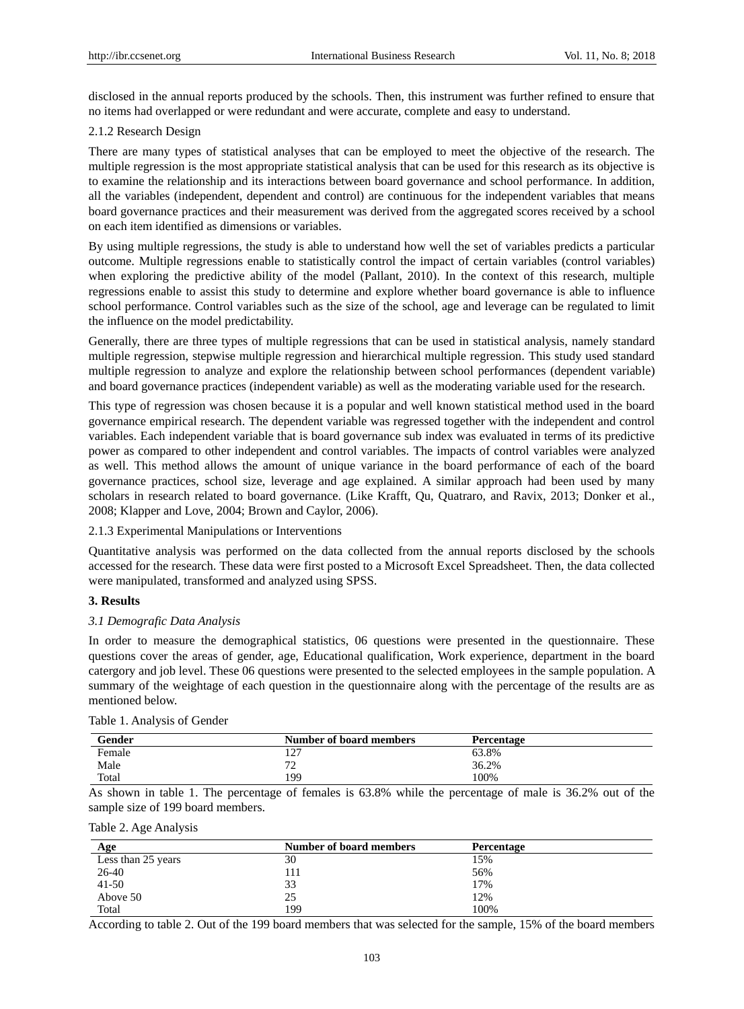disclosed in the annual reports produced by the schools. Then, this instrument was further refined to ensure that no items had overlapped or were redundant and were accurate, complete and easy to understand.

# 2.1.2 Research Design

There are many types of statistical analyses that can be employed to meet the objective of the research. The multiple regression is the most appropriate statistical analysis that can be used for this research as its objective is to examine the relationship and its interactions between board governance and school performance. In addition, all the variables (independent, dependent and control) are continuous for the independent variables that means board governance practices and their measurement was derived from the aggregated scores received by a school on each item identified as dimensions or variables.

By using multiple regressions, the study is able to understand how well the set of variables predicts a particular outcome. Multiple regressions enable to statistically control the impact of certain variables (control variables) when exploring the predictive ability of the model (Pallant, 2010). In the context of this research, multiple regressions enable to assist this study to determine and explore whether board governance is able to influence school performance. Control variables such as the size of the school, age and leverage can be regulated to limit the influence on the model predictability.

Generally, there are three types of multiple regressions that can be used in statistical analysis, namely standard multiple regression, stepwise multiple regression and hierarchical multiple regression. This study used standard multiple regression to analyze and explore the relationship between school performances (dependent variable) and board governance practices (independent variable) as well as the moderating variable used for the research.

This type of regression was chosen because it is a popular and well known statistical method used in the board governance empirical research. The dependent variable was regressed together with the independent and control variables. Each independent variable that is board governance sub index was evaluated in terms of its predictive power as compared to other independent and control variables. The impacts of control variables were analyzed as well. This method allows the amount of unique variance in the board performance of each of the board governance practices, school size, leverage and age explained. A similar approach had been used by many scholars in research related to board governance. (Like Krafft, Qu, Quatraro, and Ravix, 2013; Donker et al., 2008; Klapper and Love, 2004; Brown and Caylor, 2006).

# 2.1.3 Experimental Manipulations or Interventions

Quantitative analysis was performed on the data collected from the annual reports disclosed by the schools accessed for the research. These data were first posted to a Microsoft Excel Spreadsheet. Then, the data collected were manipulated, transformed and analyzed using SPSS.

# **3. Results**

#### *3.1 Demografic Data Analysis*

In order to measure the demographical statistics, 06 questions were presented in the questionnaire. These questions cover the areas of gender, age, Educational qualification, Work experience, department in the board catergory and job level. These 06 questions were presented to the selected employees in the sample population. A summary of the weightage of each question in the questionnaire along with the percentage of the results are as mentioned below.

| Gender | Number of board members      | Percentage |  |
|--------|------------------------------|------------|--|
| Female | $\sqrt{2}$<br>$\overline{1}$ | 63.8%      |  |
| Male   | $\mathbf{a}$<br><u>۔</u>     | 36.2%      |  |
| Total  | 199                          | 100%       |  |

Table 1. Analysis of Gender

As shown in table 1. The percentage of females is 63.8% while the percentage of male is 36.2% out of the sample size of 199 board members.

| Table 2. Age Analysis |  |  |
|-----------------------|--|--|
|                       |  |  |
|                       |  |  |

| Age                | Number of board members | <b>Percentage</b> |
|--------------------|-------------------------|-------------------|
| Less than 25 years | 30                      | 15%               |
| 26-40              | 111                     | 56%               |
| $41 - 50$          | 33                      | 17%               |
| Above 50           | 25                      | 12%               |
| Total              | 199                     | 100%              |

According to table 2. Out of the 199 board members that was selected for the sample, 15% of the board members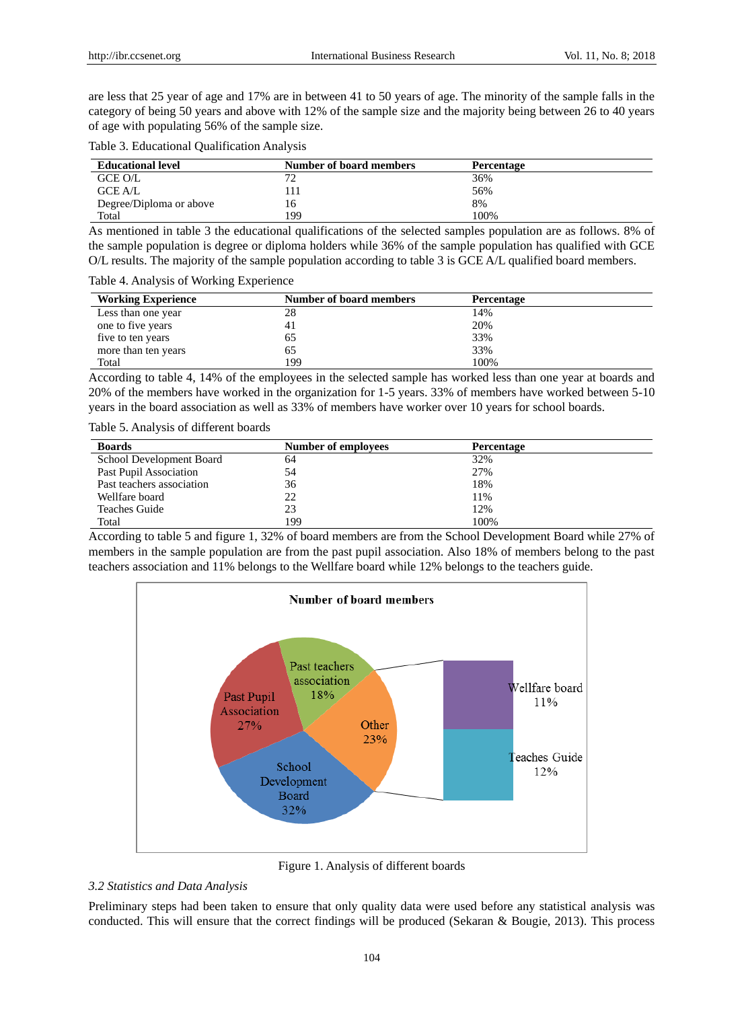are less that 25 year of age and 17% are in between 41 to 50 years of age. The minority of the sample falls in the category of being 50 years and above with 12% of the sample size and the majority being between 26 to 40 years of age with populating 56% of the sample size.

Table 3. Educational Qualification Analysis

| <b>Educational level</b> | <b>Number of board members</b> | <b>Percentage</b> |
|--------------------------|--------------------------------|-------------------|
| GCE O/L                  | רי                             | 36%               |
| <b>GCE A/L</b>           |                                | 56%               |
| Degree/Diploma or above  | 16                             | 8%                |
| Total                    | 199                            | 100%              |

As mentioned in table 3 the educational qualifications of the selected samples population are as follows. 8% of the sample population is degree or diploma holders while 36% of the sample population has qualified with GCE O/L results. The majority of the sample population according to table 3 is GCE A/L qualified board members.

Table 4. Analysis of Working Experience

| <b>Working Experience</b> | Number of board members | Percentage |
|---------------------------|-------------------------|------------|
| Less than one year        | 28                      | 14%        |
| one to five years         | 41                      | 20%        |
| five to ten years         | 65                      | 33%        |
| more than ten years       | 65                      | 33%        |
| Total                     | 199                     | 100%       |

According to table 4, 14% of the employees in the selected sample has worked less than one year at boards and 20% of the members have worked in the organization for 1-5 years. 33% of members have worked between 5-10 years in the board association as well as 33% of members have worker over 10 years for school boards.

Table 5. Analysis of different boards

| <b>Boards</b>             | Number of employees | <b>Percentage</b> |
|---------------------------|---------------------|-------------------|
| School Development Board  | 64                  | 32%               |
| Past Pupil Association    | 54                  | 27%               |
| Past teachers association | 36                  | 18%               |
| Wellfare board            | 22                  | 11%               |
| Teaches Guide             | 23                  | 12%               |
| Total                     | 199                 | 100%              |

According to table 5 and figure 1, 32% of board members are from the School Development Board while 27% of members in the sample population are from the past pupil association. Also 18% of members belong to the past teachers association and 11% belongs to the Wellfare board while 12% belongs to the teachers guide.



Figure 1. Analysis of different boards

# *3.2 Statistics and Data Analysis*

Preliminary steps had been taken to ensure that only quality data were used before any statistical analysis was conducted. This will ensure that the correct findings will be produced (Sekaran & Bougie, 2013). This process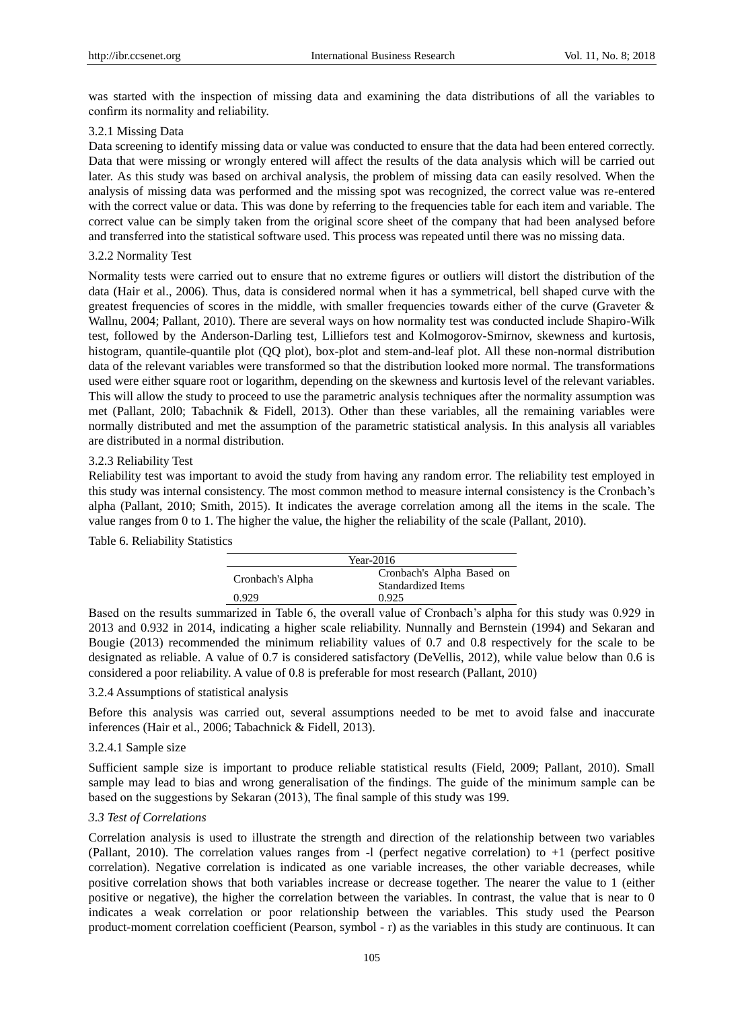was started with the inspection of missing data and examining the data distributions of all the variables to confirm its normality and reliability.

## 3.2.1 Missing Data

Data screening to identify missing data or value was conducted to ensure that the data had been entered correctly. Data that were missing or wrongly entered will affect the results of the data analysis which will be carried out later. As this study was based on archival analysis, the problem of missing data can easily resolved. When the analysis of missing data was performed and the missing spot was recognized, the correct value was re-entered with the correct value or data. This was done by referring to the frequencies table for each item and variable. The correct value can be simply taken from the original score sheet of the company that had been analysed before and transferred into the statistical software used. This process was repeated until there was no missing data.

## 3.2.2 Normality Test

Normality tests were carried out to ensure that no extreme figures or outliers will distort the distribution of the data (Hair et al., 2006). Thus, data is considered normal when it has a symmetrical, bell shaped curve with the greatest frequencies of scores in the middle, with smaller frequencies towards either of the curve (Graveter  $\&$ Wallnu, 2004; Pallant, 2010). There are several ways on how normality test was conducted include Shapiro-Wilk test, followed by the Anderson-Darling test, Lilliefors test and Kolmogorov-Smirnov, skewness and kurtosis, histogram, quantile-quantile plot (QQ plot), box-plot and stem-and-leaf plot. All these non-normal distribution data of the relevant variables were transformed so that the distribution looked more normal. The transformations used were either square root or logarithm, depending on the skewness and kurtosis level of the relevant variables. This will allow the study to proceed to use the parametric analysis techniques after the normality assumption was met (Pallant, 20l0; Tabachnik & Fidell, 2013). Other than these variables, all the remaining variables were normally distributed and met the assumption of the parametric statistical analysis. In this analysis all variables are distributed in a normal distribution.

#### 3.2.3 Reliability Test

Reliability test was important to avoid the study from having any random error. The reliability test employed in this study was internal consistency. The most common method to measure internal consistency is the Cronbach's alpha (Pallant, 2010; Smith, 2015). It indicates the average correlation among all the items in the scale. The value ranges from 0 to 1. The higher the value, the higher the reliability of the scale (Pallant, 2010).

# Table 6. Reliability Statistics

| Year- $2016$     |                                                 |  |  |
|------------------|-------------------------------------------------|--|--|
| Cronbach's Alpha | Cronbach's Alpha Based on<br>Standardized Items |  |  |
| 0.929            | 0.925                                           |  |  |

Based on the results summarized in Table 6, the overall value of Cronbach's alpha for this study was 0.929 in 2013 and 0.932 in 2014, indicating a higher scale reliability. Nunnally and Bernstein (1994) and Sekaran and Bougie (2013) recommended the minimum reliability values of 0.7 and 0.8 respectively for the scale to be designated as reliable. A value of 0.7 is considered satisfactory (DeVellis, 2012), while value below than 0.6 is considered a poor reliability. A value of 0.8 is preferable for most research (Pallant, 2010)

# 3.2.4 Assumptions of statistical analysis

Before this analysis was carried out, several assumptions needed to be met to avoid false and inaccurate inferences (Hair et al., 2006; Tabachnick & Fidell, 2013).

#### 3.2.4.1 Sample size

Sufficient sample size is important to produce reliable statistical results (Field, 2009; Pallant, 2010). Small sample may lead to bias and wrong generalisation of the findings. The guide of the minimum sample can be based on the suggestions by Sekaran (2013), The final sample of this study was 199.

# *3.3 Test of Correlations*

Correlation analysis is used to illustrate the strength and direction of the relationship between two variables (Pallant, 2010). The correlation values ranges from -l (perfect negative correlation) to +1 (perfect positive correlation). Negative correlation is indicated as one variable increases, the other variable decreases, while positive correlation shows that both variables increase or decrease together. The nearer the value to 1 (either positive or negative), the higher the correlation between the variables. In contrast, the value that is near to 0 indicates a weak correlation or poor relationship between the variables. This study used the Pearson product-moment correlation coefficient (Pearson, symbol - r) as the variables in this study are continuous. It can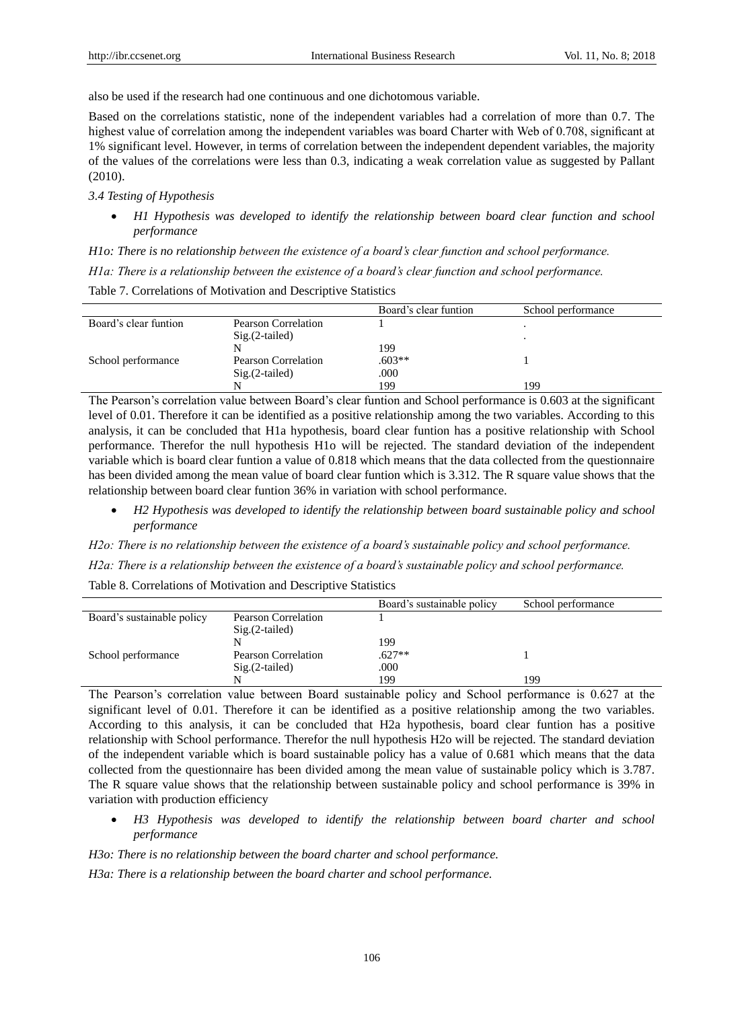also be used if the research had one continuous and one dichotomous variable.

Based on the correlations statistic, none of the independent variables had a correlation of more than 0.7. The highest value of correlation among the independent variables was board Charter with Web of 0.708, significant at 1% significant level. However, in terms of correlation between the independent dependent variables, the majority of the values of the correlations were less than 0.3, indicating a weak correlation value as suggested by Pallant (2010).

### *3.4 Testing of Hypothesis*

 *H1 Hypothesis was developed to identify the relationship between board clear function and school performance*

*H1o: There is no relationship between the existence of a board's clear function and school performance.*

*H1a: There is a relationship between the existence of a board's clear function and school performance.*

Table 7. Correlations of Motivation and Descriptive Statistics

|                       |                     | Board's clear funtion | School performance |
|-----------------------|---------------------|-----------------------|--------------------|
| Board's clear funtion | Pearson Correlation |                       |                    |
|                       | $Sig.(2-tailed)$    |                       |                    |
|                       |                     | 199                   |                    |
| School performance    | Pearson Correlation | $.603**$              |                    |
|                       | $Sig.(2-tailed)$    | .000                  |                    |
|                       |                     | 199                   | 199                |

The Pearson's correlation value between Board's clear funtion and School performance is 0.603 at the significant level of 0.01. Therefore it can be identified as a positive relationship among the two variables. According to this analysis, it can be concluded that H1a hypothesis, board clear funtion has a positive relationship with School performance. Therefor the null hypothesis H1o will be rejected. The standard deviation of the independent variable which is board clear funtion a value of 0.818 which means that the data collected from the questionnaire has been divided among the mean value of board clear funtion which is 3.312. The R square value shows that the relationship between board clear funtion 36% in variation with school performance.

 *H2 Hypothesis was developed to identify the relationship between board sustainable policy and school performance*

*H2o: There is no relationship between the existence of a board's sustainable policy and school performance.*

*H2a: There is a relationship between the existence of a board's sustainable policy and school performance.*

Table 8. Correlations of Motivation and Descriptive Statistics

|                            |                     | Board's sustainable policy | School performance |
|----------------------------|---------------------|----------------------------|--------------------|
| Board's sustainable policy | Pearson Correlation |                            |                    |
|                            | $Sig.(2-tailed)$    |                            |                    |
|                            |                     | 199                        |                    |
| School performance         | Pearson Correlation | $.627**$                   |                    |
|                            | $Sig.(2-tailed)$    | .000                       |                    |
|                            |                     | 199                        | 199                |

The Pearson's correlation value between Board sustainable policy and School performance is 0.627 at the significant level of 0.01. Therefore it can be identified as a positive relationship among the two variables. According to this analysis, it can be concluded that H2a hypothesis, board clear funtion has a positive relationship with School performance. Therefor the null hypothesis H2o will be rejected. The standard deviation of the independent variable which is board sustainable policy has a value of 0.681 which means that the data collected from the questionnaire has been divided among the mean value of sustainable policy which is 3.787. The R square value shows that the relationship between sustainable policy and school performance is 39% in variation with production efficiency

 *H3 Hypothesis was developed to identify the relationship between board charter and school performance*

*H3o: There is no relationship between the board charter and school performance.*

*H3a: There is a relationship between the board charter and school performance.*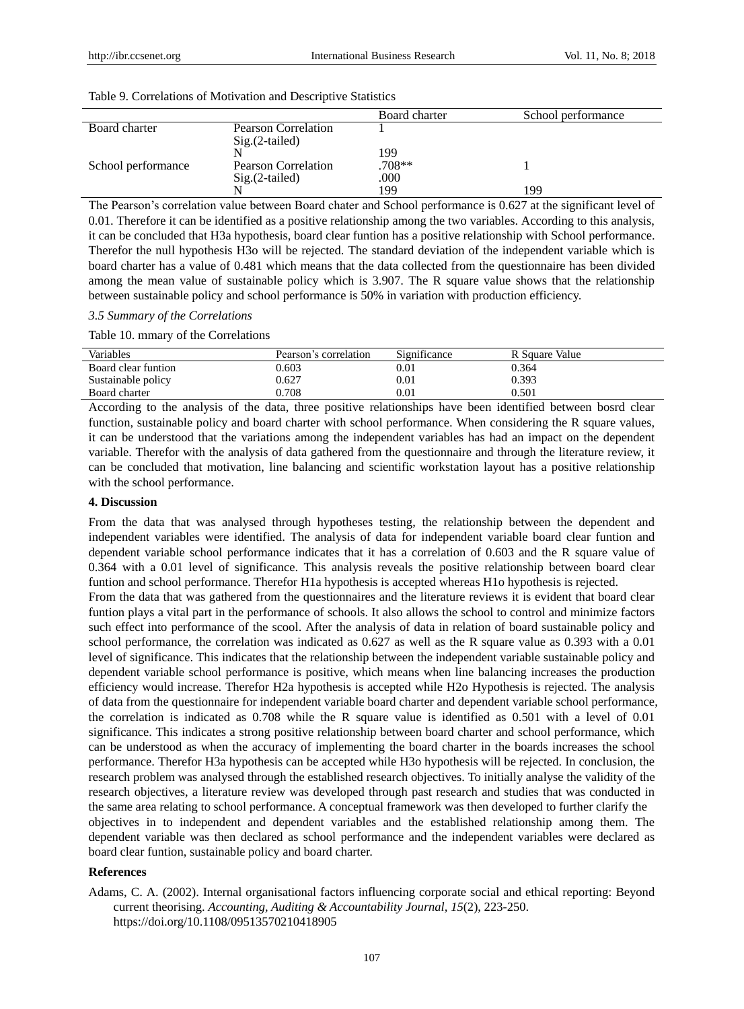|                    |                            | Board charter | School performance |
|--------------------|----------------------------|---------------|--------------------|
| Board charter      | <b>Pearson Correlation</b> |               |                    |
|                    | $Sig.(2-tailed)$           |               |                    |
|                    |                            | 199           |                    |
| School performance | <b>Pearson Correlation</b> | .708**        |                    |
|                    | $Sig.(2-tailed)$           | .000          |                    |
|                    |                            | 199           | 199                |

Table 9. Correlations of Motivation and Descriptive Statistics

The Pearson's correlation value between Board chater and School performance is 0.627 at the significant level of 0.01. Therefore it can be identified as a positive relationship among the two variables. According to this analysis, it can be concluded that H3a hypothesis, board clear funtion has a positive relationship with School performance. Therefor the null hypothesis H3o will be rejected. The standard deviation of the independent variable which is board charter has a value of 0.481 which means that the data collected from the questionnaire has been divided among the mean value of sustainable policy which is 3.907. The R square value shows that the relationship between sustainable policy and school performance is 50% in variation with production efficiency.

# *3.5 Summary of the Correlations*

Table 10. mmary of the Correlations

| Variables           | Pearson's correlation | Significance | R Square Value |
|---------------------|-----------------------|--------------|----------------|
| Board clear funtion | 0.603                 | $\rm 0.01$   | 0.364          |
| Sustainable policy  | 0.627                 | $\rm 0.01$   | 0.393          |
| Board charter       | 0.708                 | $0.01\,$     | 0.501          |

According to the analysis of the data, three positive relationships have been identified between bosrd clear function, sustainable policy and board charter with school performance. When considering the R square values, it can be understood that the variations among the independent variables has had an impact on the dependent variable. Therefor with the analysis of data gathered from the questionnaire and through the literature review, it can be concluded that motivation, line balancing and scientific workstation layout has a positive relationship with the school performance.

# **4. Discussion**

From the data that was analysed through hypotheses testing, the relationship between the dependent and independent variables were identified. The analysis of data for independent variable board clear funtion and dependent variable school performance indicates that it has a correlation of 0.603 and the R square value of 0.364 with a 0.01 level of significance. This analysis reveals the positive relationship between board clear funtion and school performance. Therefor H1a hypothesis is accepted whereas H1o hypothesis is rejected.

From the data that was gathered from the questionnaires and the literature reviews it is evident that board clear funtion plays a vital part in the performance of schools. It also allows the school to control and minimize factors such effect into performance of the scool. After the analysis of data in relation of board sustainable policy and school performance, the correlation was indicated as 0.627 as well as the R square value as 0.393 with a 0.01 level of significance. This indicates that the relationship between the independent variable sustainable policy and dependent variable school performance is positive, which means when line balancing increases the production efficiency would increase. Therefor H2a hypothesis is accepted while H2o Hypothesis is rejected. The analysis of data from the questionnaire for independent variable board charter and dependent variable school performance, the correlation is indicated as 0.708 while the R square value is identified as 0.501 with a level of 0.01 significance. This indicates a strong positive relationship between board charter and school performance, which can be understood as when the accuracy of implementing the board charter in the boards increases the school performance. Therefor H3a hypothesis can be accepted while H3o hypothesis will be rejected. In conclusion, the research problem was analysed through the established research objectives. To initially analyse the validity of the research objectives, a literature review was developed through past research and studies that was conducted in the same area relating to school performance. A conceptual framework was then developed to further clarify the objectives in to independent and dependent variables and the established relationship among them. The dependent variable was then declared as school performance and the independent variables were declared as board clear funtion, sustainable policy and board charter.

# **References**

Adams, C. A. (2002). Internal organisational factors influencing corporate social and ethical reporting: Beyond current theorising. *Accounting, Auditing & Accountability Journal, 15*(2), 223-250. https://doi.org/10.1108/09513570210418905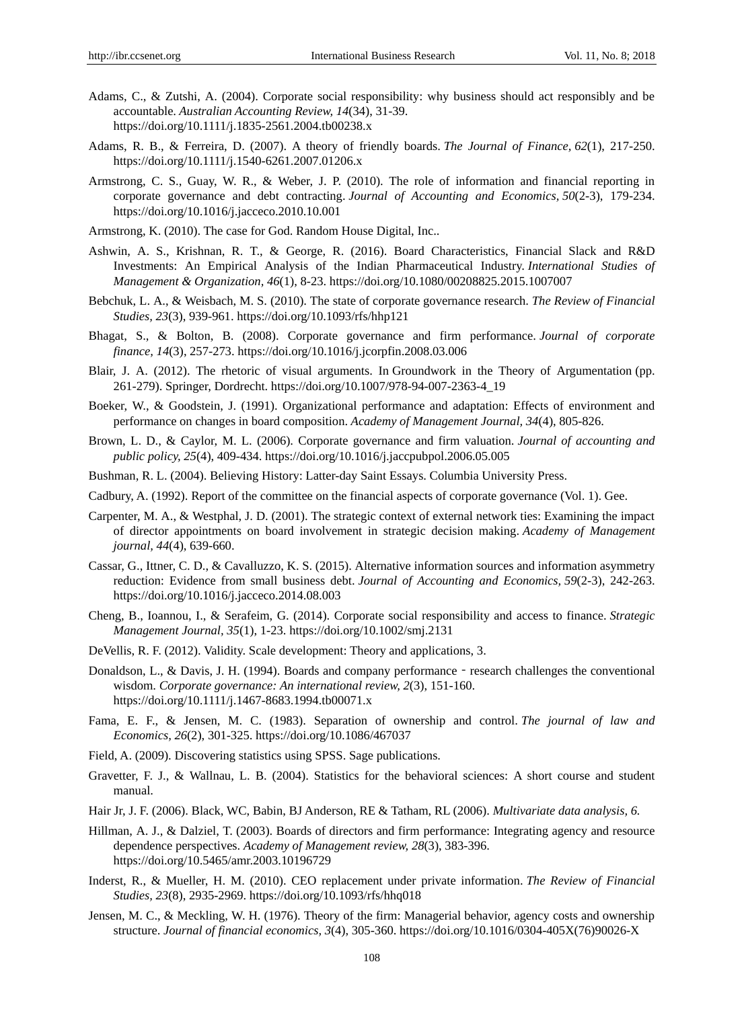- Adams, C., & Zutshi, A. (2004). Corporate social responsibility: why business should act responsibly and be accountable. *Australian Accounting Review, 14*(34), 31-39. https://doi.org/10.1111/j.1835-2561.2004.tb00238.x
- Adams, R. B., & Ferreira, D. (2007). A theory of friendly boards. *The Journal of Finance, 62*(1), 217-250. https://doi.org/10.1111/j.1540-6261.2007.01206.x
- Armstrong, C. S., Guay, W. R., & Weber, J. P. (2010). The role of information and financial reporting in corporate governance and debt contracting. *Journal of Accounting and Economics, 50*(2-3), 179-234. https://doi.org/10.1016/j.jacceco.2010.10.001
- Armstrong, K. (2010). The case for God. Random House Digital, Inc..
- Ashwin, A. S., Krishnan, R. T., & George, R. (2016). Board Characteristics, Financial Slack and R&D Investments: An Empirical Analysis of the Indian Pharmaceutical Industry. *International Studies of Management & Organization, 46*(1), 8-23. https://doi.org/10.1080/00208825.2015.1007007
- Bebchuk, L. A., & Weisbach, M. S. (2010). The state of corporate governance research. *The Review of Financial Studies, 23*(3), 939-961. https://doi.org/10.1093/rfs/hhp121
- Bhagat, S., & Bolton, B. (2008). Corporate governance and firm performance. *Journal of corporate finance, 14*(3), 257-273. https://doi.org/10.1016/j.jcorpfin.2008.03.006
- Blair, J. A. (2012). The rhetoric of visual arguments. In Groundwork in the Theory of Argumentation (pp. 261-279). Springer, Dordrecht. https://doi.org/10.1007/978-94-007-2363-4\_19
- Boeker, W., & Goodstein, J. (1991). Organizational performance and adaptation: Effects of environment and performance on changes in board composition. *Academy of Management Journal, 34*(4), 805-826.
- Brown, L. D., & Caylor, M. L. (2006). Corporate governance and firm valuation. *Journal of accounting and public policy, 25*(4), 409-434. https://doi.org/10.1016/j.jaccpubpol.2006.05.005
- Bushman, R. L. (2004). Believing History: Latter-day Saint Essays. Columbia University Press.
- Cadbury, A. (1992). Report of the committee on the financial aspects of corporate governance (Vol. 1). Gee.
- Carpenter, M. A., & Westphal, J. D. (2001). The strategic context of external network ties: Examining the impact of director appointments on board involvement in strategic decision making. *Academy of Management journal, 44*(4), 639-660.
- Cassar, G., Ittner, C. D., & Cavalluzzo, K. S. (2015). Alternative information sources and information asymmetry reduction: Evidence from small business debt. *Journal of Accounting and Economics, 59*(2-3), 242-263. https://doi.org/10.1016/j.jacceco.2014.08.003
- Cheng, B., Ioannou, I., & Serafeim, G. (2014). Corporate social responsibility and access to finance. *Strategic Management Journal, 35*(1), 1-23. https://doi.org/10.1002/smj.2131
- DeVellis, R. F. (2012). Validity. Scale development: Theory and applications, 3.
- Donaldson, L., & Davis, J. H. (1994). Boards and company performance research challenges the conventional wisdom. *Corporate governance: An international review, 2*(3), 151-160. https://doi.org/10.1111/j.1467-8683.1994.tb00071.x
- Fama, E. F., & Jensen, M. C. (1983). Separation of ownership and control. *The journal of law and Economics, 26*(2), 301-325. https://doi.org/10.1086/467037
- Field, A. (2009). Discovering statistics using SPSS. Sage publications.
- Gravetter, F. J., & Wallnau, L. B. (2004). Statistics for the behavioral sciences: A short course and student manual.
- Hair Jr, J. F. (2006). Black, WC, Babin, BJ Anderson, RE & Tatham, RL (2006). *Multivariate data analysis, 6.*
- Hillman, A. J., & Dalziel, T. (2003). Boards of directors and firm performance: Integrating agency and resource dependence perspectives. *Academy of Management review, 28*(3), 383-396. https://doi.org/10.5465/amr.2003.10196729
- Inderst, R., & Mueller, H. M. (2010). CEO replacement under private information. *The Review of Financial Studies, 23*(8), 2935-2969. https://doi.org/10.1093/rfs/hhq018
- Jensen, M. C., & Meckling, W. H. (1976). Theory of the firm: Managerial behavior, agency costs and ownership structure. *Journal of financial economics, 3*(4), 305-360. https://doi.org/10.1016/0304-405X(76)90026-X